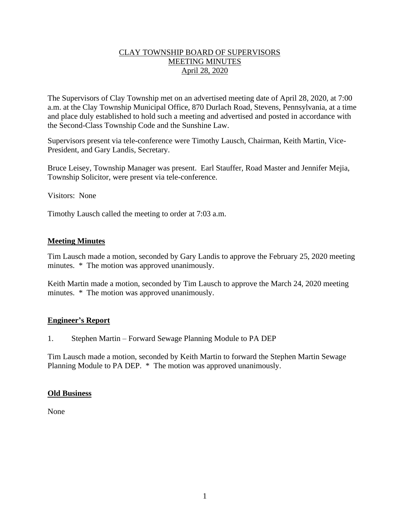## CLAY TOWNSHIP BOARD OF SUPERVISORS MEETING MINUTES April 28, 2020

The Supervisors of Clay Township met on an advertised meeting date of April 28, 2020, at 7:00 a.m. at the Clay Township Municipal Office, 870 Durlach Road, Stevens, Pennsylvania, at a time and place duly established to hold such a meeting and advertised and posted in accordance with the Second-Class Township Code and the Sunshine Law.

Supervisors present via tele-conference were Timothy Lausch, Chairman, Keith Martin, Vice-President, and Gary Landis, Secretary.

Bruce Leisey, Township Manager was present. Earl Stauffer, Road Master and Jennifer Mejia, Township Solicitor, were present via tele-conference.

Visitors: None

Timothy Lausch called the meeting to order at 7:03 a.m.

# **Meeting Minutes**

Tim Lausch made a motion, seconded by Gary Landis to approve the February 25, 2020 meeting minutes. \* The motion was approved unanimously.

Keith Martin made a motion, seconded by Tim Lausch to approve the March 24, 2020 meeting minutes. \* The motion was approved unanimously.

#### **Engineer's Report**

1. Stephen Martin – Forward Sewage Planning Module to PA DEP

Tim Lausch made a motion, seconded by Keith Martin to forward the Stephen Martin Sewage Planning Module to PA DEP. \* The motion was approved unanimously.

#### **Old Business**

None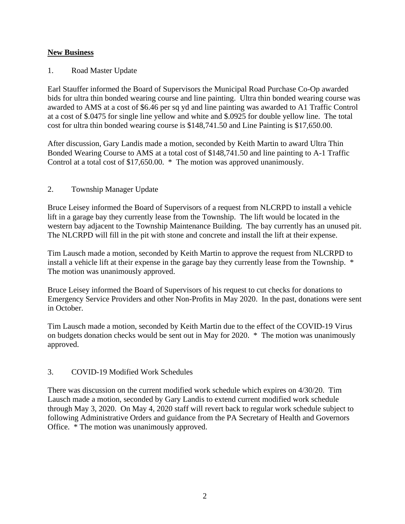# **New Business**

## 1. Road Master Update

Earl Stauffer informed the Board of Supervisors the Municipal Road Purchase Co-Op awarded bids for ultra thin bonded wearing course and line painting. Ultra thin bonded wearing course was awarded to AMS at a cost of \$6.46 per sq yd and line painting was awarded to A1 Traffic Control at a cost of \$.0475 for single line yellow and white and \$.0925 for double yellow line. The total cost for ultra thin bonded wearing course is \$148,741.50 and Line Painting is \$17,650.00.

After discussion, Gary Landis made a motion, seconded by Keith Martin to award Ultra Thin Bonded Wearing Course to AMS at a total cost of \$148,741.50 and line painting to A-1 Traffic Control at a total cost of \$17,650.00. \* The motion was approved unanimously.

### 2. Township Manager Update

Bruce Leisey informed the Board of Supervisors of a request from NLCRPD to install a vehicle lift in a garage bay they currently lease from the Township. The lift would be located in the western bay adjacent to the Township Maintenance Building. The bay currently has an unused pit. The NLCRPD will fill in the pit with stone and concrete and install the lift at their expense.

Tim Lausch made a motion, seconded by Keith Martin to approve the request from NLCRPD to install a vehicle lift at their expense in the garage bay they currently lease from the Township. \* The motion was unanimously approved.

Bruce Leisey informed the Board of Supervisors of his request to cut checks for donations to Emergency Service Providers and other Non-Profits in May 2020. In the past, donations were sent in October.

Tim Lausch made a motion, seconded by Keith Martin due to the effect of the COVID-19 Virus on budgets donation checks would be sent out in May for 2020. \* The motion was unanimously approved.

# 3. COVID-19 Modified Work Schedules

There was discussion on the current modified work schedule which expires on 4/30/20. Tim Lausch made a motion, seconded by Gary Landis to extend current modified work schedule through May 3, 2020. On May 4, 2020 staff will revert back to regular work schedule subject to following Administrative Orders and guidance from the PA Secretary of Health and Governors Office. \* The motion was unanimously approved.